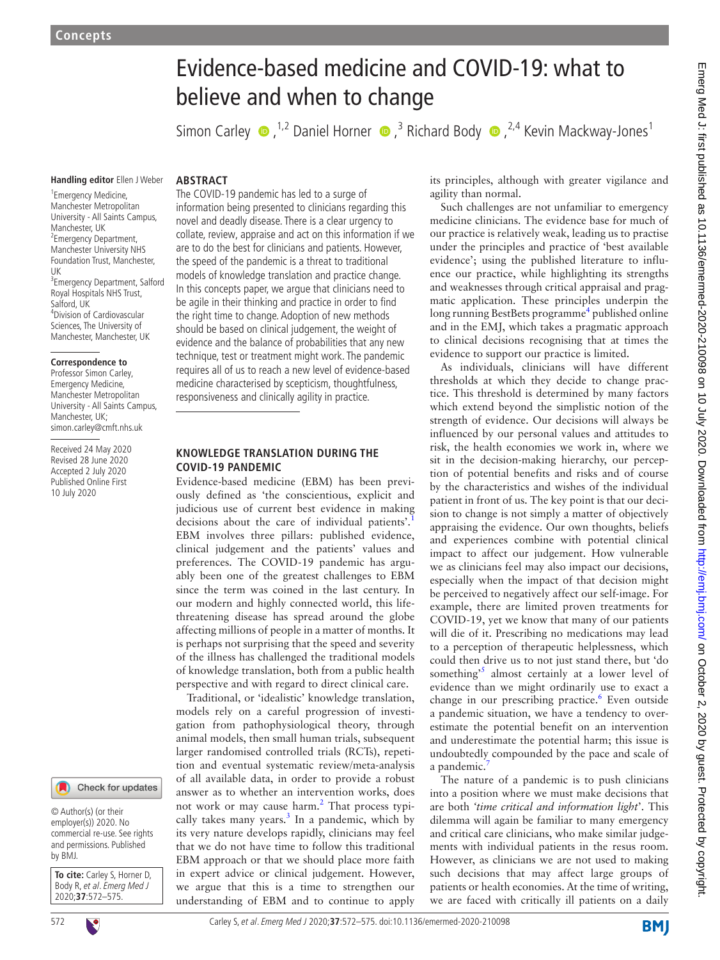# Evidence-based medicine and COVID-19: what to believe and when to change

SimonCarley  $\bullet$ , <sup>1,2</sup> Daniel Horner  $\bullet$ , <sup>3</sup> Richard Body  $\bullet$ , <sup>2,4</sup> Kevin Mackway-Jones<sup>1</sup>

#### **Handling editor** Ellen J Weber

#### **ARSTRACT**

1 Emergency Medicine, Manchester Metropolitan University - All Saints Campus, Manchester, UK <sup>2</sup> Emergency Department, Manchester University NHS Foundation Trust, Manchester, UK 3 Emergency Department, Salford Royal Hospitals NHS Trust, Salford, UK 4 Division of Cardiovascular Sciences, The University of Manchester, Manchester, UK

#### **Correspondence to**

Professor Simon Carley, Emergency Medicine, Manchester Metropolitan University - All Saints Campus, Manchester, UK; simon.carley@cmft.nhs.uk

Received 24 May 2020 Revised 28 June 2020 Accepted 2 July 2020 Published Online First 10 July 2020



© Author(s) (or their employer(s)) 2020. No commercial re-use. See rights and permissions. Published by BMJ.

**To cite:** Carley S, Horner D, Body R, et al. Emerg Med J 2020;**37**:572–575.

novel and deadly disease. There is a clear urgency to collate, review, appraise and act on this information if we are to do the best for clinicians and patients. However, the speed of the pandemic is a threat to traditional models of knowledge translation and practice change. In this concepts paper, we argue that clinicians need to be agile in their thinking and practice in order to find the right time to change. Adoption of new methods should be based on clinical judgement, the weight of evidence and the balance of probabilities that any new technique, test or treatment might work. The pandemic requires all of us to reach a new level of evidence-based medicine characterised by scepticism, thoughtfulness, responsiveness and clinically agility in practice.

The COVID-19 pandemic has led to a surge of information being presented to clinicians regarding this

## **Knowledge translation during the COVID-19 pandemic**

Evidence-based medicine (EBM) has been previously defined as 'the conscientious, explicit and judicious use of current best evidence in making decisions about the care of individual patients'.<sup>[1](#page-3-0)</sup> EBM involves three pillars: published evidence, clinical judgement and the patients' values and preferences. The COVID-19 pandemic has arguably been one of the greatest challenges to EBM since the term was coined in the last century. In our modern and highly connected world, this lifethreatening disease has spread around the globe affecting millions of people in a matter of months. It is perhaps not surprising that the speed and severity of the illness has challenged the traditional models of knowledge translation, both from a public health perspective and with regard to direct clinical care.

Traditional, or 'idealistic' knowledge translation, models rely on a careful progression of investigation from pathophysiological theory, through animal models, then small human trials, subsequent larger randomised controlled trials (RCTs), repetition and eventual systematic review/meta-analysis of all available data, in order to provide a robust answer as to whether an intervention works, does not work or may cause harm.<sup>[2](#page-3-1)</sup> That process typically takes many years. $3$  In a pandemic, which by its very nature develops rapidly, clinicians may feel that we do not have time to follow this traditional EBM approach or that we should place more faith in expert advice or clinical judgement. However, we argue that this is a time to strengthen our understanding of EBM and to continue to apply

its principles, although with greater vigilance and agility than normal.

Such challenges are not unfamiliar to emergency medicine clinicians. The evidence base for much of our practice is relatively weak, leading us to practise under the principles and practice of 'best available evidence'; using the published literature to influence our practice, while highlighting its strengths and weaknesses through critical appraisal and pragmatic application. These principles underpin the long running BestBets programme<sup>[4](#page-3-3)</sup> published online and in the EMJ, which takes a pragmatic approach to clinical decisions recognising that at times the evidence to support our practice is limited.

As individuals, clinicians will have different thresholds at which they decide to change practice. This threshold is determined by many factors which extend beyond the simplistic notion of the strength of evidence. Our decisions will always be influenced by our personal values and attitudes to risk, the health economies we work in, where we sit in the decision-making hierarchy, our perception of potential benefits and risks and of course by the characteristics and wishes of the individual patient in front of us. The key point is that our decision to change is not simply a matter of objectively appraising the evidence. Our own thoughts, beliefs and experiences combine with potential clinical impact to affect our judgement. How vulnerable we as clinicians feel may also impact our decisions, especially when the impact of that decision might be perceived to negatively affect our self-image. For example, there are limited proven treatments for COVID-19, yet we know that many of our patients will die of it. Prescribing no medications may lead to a perception of therapeutic helplessness, which could then drive us to not just stand there, but 'do something<sup>[5](#page-3-4)</sup> almost certainly at a lower level of evidence than we might ordinarily use to exact a change in our prescribing practice.<sup>6</sup> Even outside a pandemic situation, we have a tendency to overestimate the potential benefit on an intervention and underestimate the potential harm; this issue is undoubtedly compounded by the pace and scale of a pandemic.

The nature of a pandemic is to push clinicians into a position where we must make decisions that are both *'time critical and information light*'. This dilemma will again be familiar to many emergency and critical care clinicians, who make similar judgements with individual patients in the resus room. However, as clinicians we are not used to making such decisions that may affect large groups of patients or health economies. At the time of writing, we are faced with critically ill patients on a daily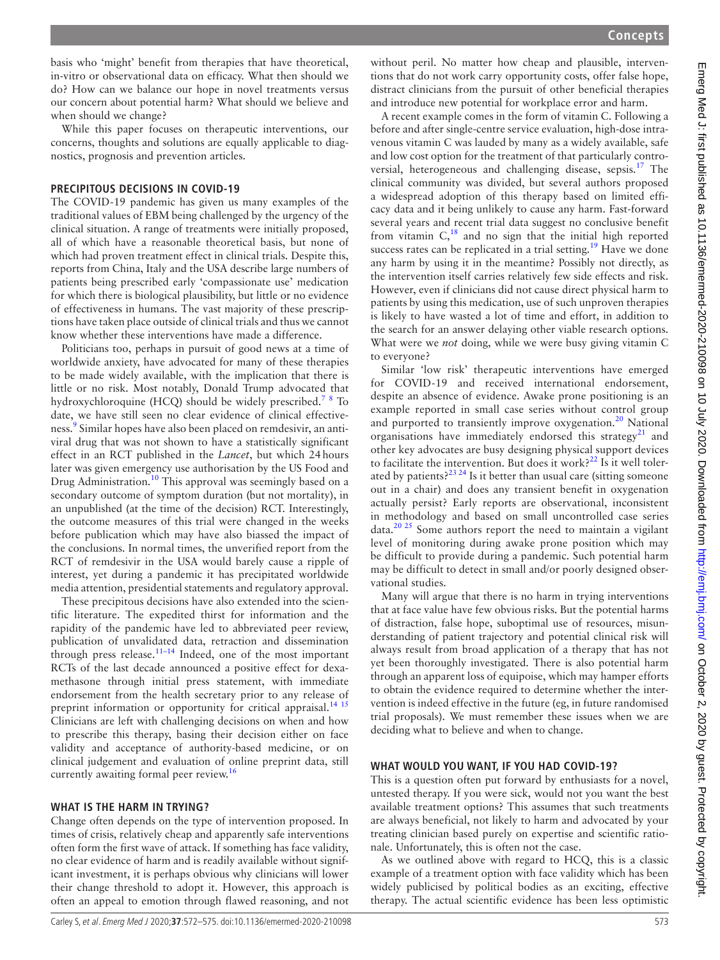basis who 'might' benefit from therapies that have theoretical, in-vitro or observational data on efficacy. What then should we do? How can we balance our hope in novel treatments versus our concern about potential harm? What should we believe and when should we change?

While this paper focuses on therapeutic interventions, our concerns, thoughts and solutions are equally applicable to diagnostics, prognosis and prevention articles.

## **Precipitous decisions in COVID-19**

The COVID-19 pandemic has given us many examples of the traditional values of EBM being challenged by the urgency of the clinical situation. A range of treatments were initially proposed, all of which have a reasonable theoretical basis, but none of which had proven treatment effect in clinical trials. Despite this, reports from China, Italy and the USA describe large numbers of patients being prescribed early 'compassionate use' medication for which there is biological plausibility, but little or no evidence of effectiveness in humans. The vast majority of these prescriptions have taken place outside of clinical trials and thus we cannot know whether these interventions have made a difference.

Politicians too, perhaps in pursuit of good news at a time of worldwide anxiety, have advocated for many of these therapies to be made widely available, with the implication that there is little or no risk. Most notably, Donald Trump advocated that hydroxychloroquine (HCQ) should be widely prescribed.<sup>[7](#page-3-6)[8](#page-3-7)</sup> To date, we have still seen no clear evidence of clinical effectiveness.<sup>9</sup> Similar hopes have also been placed on remdesivir, an antiviral drug that was not shown to have a statistically significant effect in an RCT published in the *Lancet*, but which 24hours later was given emergency use authorisation by the US Food and Drug Administration.<sup>[10](#page-3-9)</sup> This approval was seemingly based on a secondary outcome of symptom duration (but not mortality), in an unpublished (at the time of the decision) RCT. Interestingly, the outcome measures of this trial were changed in the weeks before publication which may have also biassed the impact of the conclusions. In normal times, the unverified report from the RCT of remdesivir in the USA would barely cause a ripple of interest, yet during a pandemic it has precipitated worldwide media attention, presidential statements and regulatory approval.

These precipitous decisions have also extended into the scientific literature. The expedited thirst for information and the rapidity of the pandemic have led to abbreviated peer review, publication of unvalidated data, retraction and dissemination through press release. $11-14$  Indeed, one of the most important RCTs of the last decade announced a positive effect for dexamethasone through initial press statement, with immediate endorsement from the health secretary prior to any release of preprint information or opportunity for critical appraisal.<sup>[14 15](#page-3-11)</sup> Clinicians are left with challenging decisions on when and how to prescribe this therapy, basing their decision either on face validity and acceptance of authority-based medicine, or on clinical judgement and evaluation of online preprint data, still currently awaiting formal peer review.<sup>[16](#page-3-12)</sup>

#### **What is the harm in trying?**

Change often depends on the type of intervention proposed. In times of crisis, relatively cheap and apparently safe interventions often form the first wave of attack. If something has face validity, no clear evidence of harm and is readily available without significant investment, it is perhaps obvious why clinicians will lower their change threshold to adopt it. However, this approach is often an appeal to emotion through flawed reasoning, and not

without peril. No matter how cheap and plausible, interventions that do not work carry opportunity costs, offer false hope, distract clinicians from the pursuit of other beneficial therapies and introduce new potential for workplace error and harm.

A recent example comes in the form of vitamin C. Following a before and after single-centre service evaluation, high-dose intravenous vitamin C was lauded by many as a widely available, safe and low cost option for the treatment of that particularly controversial, heterogeneous and challenging disease, sepsis[.17](#page-3-13) The clinical community was divided, but several authors proposed a widespread adoption of this therapy based on limited efficacy data and it being unlikely to cause any harm. Fast-forward several years and recent trial data suggest no conclusive benefit from vitamin  $C<sub>18</sub>$  $C<sub>18</sub>$  $C<sub>18</sub>$  and no sign that the initial high reported success rates can be replicated in a trial setting.<sup>19</sup> Have we done any harm by using it in the meantime? Possibly not directly, as the intervention itself carries relatively few side effects and risk. However, even if clinicians did not cause direct physical harm to patients by using this medication, use of such unproven therapies is likely to have wasted a lot of time and effort, in addition to the search for an answer delaying other viable research options. What were we *not* doing, while we were busy giving vitamin C to everyone?

Similar 'low risk' therapeutic interventions have emerged for COVID-19 and received international endorsement, despite an absence of evidence. Awake prone positioning is an example reported in small case series without control group and purported to transiently improve oxygenation.<sup>20</sup> National organisations have immediately endorsed this strategy<sup>[21](#page-3-17)</sup> and other key advocates are busy designing physical support devices to facilitate the intervention. But does it work? $22$  Is it well tolerated by patients? $2^{23}$  24 Is it better than usual care (sitting someone out in a chair) and does any transient benefit in oxygenation actually persist? Early reports are observational, inconsistent in methodology and based on small uncontrolled case series  $data.<sup>20 25</sup>$  $data.<sup>20 25</sup>$  $data.<sup>20 25</sup>$  Some authors report the need to maintain a vigilant level of monitoring during awake prone position which may be difficult to provide during a pandemic. Such potential harm may be difficult to detect in small and/or poorly designed observational studies.

Many will argue that there is no harm in trying interventions that at face value have few obvious risks. But the potential harms of distraction, false hope, suboptimal use of resources, misunderstanding of patient trajectory and potential clinical risk will always result from broad application of a therapy that has not yet been thoroughly investigated. There is also potential harm through an apparent loss of equipoise, which may hamper efforts to obtain the evidence required to determine whether the intervention is indeed effective in the future (eg, in future randomised trial proposals). We must remember these issues when we are deciding what to believe and when to change.

#### **What would you want, if you had COVID-19?**

This is a question often put forward by enthusiasts for a novel, untested therapy. If you were sick, would not you want the best available treatment options? This assumes that such treatments are always beneficial, not likely to harm and advocated by your treating clinician based purely on expertise and scientific rationale. Unfortunately, this is often not the case.

As we outlined above with regard to HCQ, this is a classic example of a treatment option with face validity which has been widely publicised by political bodies as an exciting, effective therapy. The actual scientific evidence has been less optimistic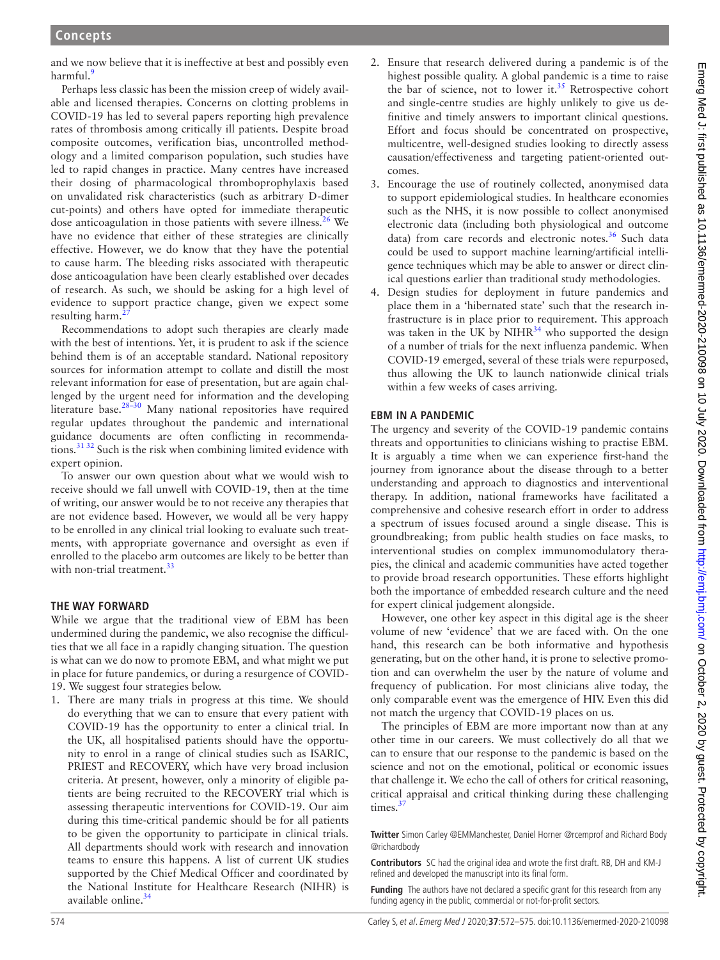and we now believe that it is ineffective at best and possibly even harmful.<sup>9</sup>

Perhaps less classic has been the mission creep of widely available and licensed therapies. Concerns on clotting problems in COVID-19 has led to several papers reporting high prevalence rates of thrombosis among critically ill patients. Despite broad composite outcomes, verification bias, uncontrolled methodology and a limited comparison population, such studies have led to rapid changes in practice. Many centres have increased their dosing of pharmacological thromboprophylaxis based on unvalidated risk characteristics (such as arbitrary D-dimer cut-points) and others have opted for immediate therapeutic dose anticoagulation in those patients with severe illness.<sup>26</sup> We have no evidence that either of these strategies are clinically effective. However, we do know that they have the potential to cause harm. The bleeding risks associated with therapeutic dose anticoagulation have been clearly established over decades of research. As such, we should be asking for a high level of evidence to support practice change, given we expect some resulting harm.

Recommendations to adopt such therapies are clearly made with the best of intentions. Yet, it is prudent to ask if the science behind them is of an acceptable standard. National repository sources for information attempt to collate and distill the most relevant information for ease of presentation, but are again challenged by the urgent need for information and the developing literature base.<sup>[28–30](#page-3-22)</sup> Many national repositories have required regular updates throughout the pandemic and international guidance documents are often conflicting in recommendations.[31 32](#page-3-23) Such is the risk when combining limited evidence with expert opinion.

To answer our own question about what we would wish to receive should we fall unwell with COVID-19, then at the time of writing, our answer would be to not receive any therapies that are not evidence based. However, we would all be very happy to be enrolled in any clinical trial looking to evaluate such treatments, with appropriate governance and oversight as even if enrolled to the placebo arm outcomes are likely to be better than with non-trial treatment.<sup>[33](#page-3-24)</sup>

## **The way forward**

While we argue that the traditional view of EBM has been undermined during the pandemic, we also recognise the difficulties that we all face in a rapidly changing situation. The question is what can we do now to promote EBM, and what might we put in place for future pandemics, or during a resurgence of COVID-19. We suggest four strategies below.

1. There are many trials in progress at this time. We should do everything that we can to ensure that every patient with COVID-19 has the opportunity to enter a clinical trial. In the UK, all hospitalised patients should have the opportunity to enrol in a range of clinical studies such as ISARIC, PRIEST and RECOVERY, which have very broad inclusion criteria. At present, however, only a minority of eligible patients are being recruited to the RECOVERY trial which is assessing therapeutic interventions for COVID-19. Our aim during this time-critical pandemic should be for all patients to be given the opportunity to participate in clinical trials. All departments should work with research and innovation teams to ensure this happens. A list of current UK studies supported by the Chief Medical Officer and coordinated by the National Institute for Healthcare Research (NIHR) is available online.[34](#page-3-25)

- 2. Ensure that research delivered during a pandemic is of the highest possible quality. A global pandemic is a time to raise the bar of science, not to lower it.<sup>35</sup> Retrospective cohort and single-centre studies are highly unlikely to give us definitive and timely answers to important clinical questions. Effort and focus should be concentrated on prospective, multicentre, well-designed studies looking to directly assess causation/effectiveness and targeting patient-oriented outcomes.
- 3. Encourage the use of routinely collected, anonymised data to support epidemiological studies. In healthcare economies such as the NHS, it is now possible to collect anonymised electronic data (including both physiological and outcome data) from care records and electronic notes.<sup>36</sup> Such data could be used to support machine learning/artificial intelligence techniques which may be able to answer or direct clinical questions earlier than traditional study methodologies.
- 4. Design studies for deployment in future pandemics and place them in a 'hibernated state' such that the research infrastructure is in place prior to requirement. This approach was taken in the UK by  $NIHR^{34}$  who supported the design of a number of trials for the next influenza pandemic. When COVID-19 emerged, several of these trials were repurposed, thus allowing the UK to launch nationwide clinical trials within a few weeks of cases arriving.

# **EBM in a pandemic**

The urgency and severity of the COVID-19 pandemic contains threats and opportunities to clinicians wishing to practise EBM. It is arguably a time when we can experience first-hand the journey from ignorance about the disease through to a better understanding and approach to diagnostics and interventional therapy. In addition, national frameworks have facilitated a comprehensive and cohesive research effort in order to address a spectrum of issues focused around a single disease. This is groundbreaking; from public health studies on face masks, to interventional studies on complex immunomodulatory therapies, the clinical and academic communities have acted together to provide broad research opportunities. These efforts highlight both the importance of embedded research culture and the need for expert clinical judgement alongside.

However, one other key aspect in this digital age is the sheer volume of new 'evidence' that we are faced with. On the one hand, this research can be both informative and hypothesis generating, but on the other hand, it is prone to selective promotion and can overwhelm the user by the nature of volume and frequency of publication. For most clinicians alive today, the only comparable event was the emergence of HIV. Even this did not match the urgency that COVID-19 places on us.

The principles of EBM are more important now than at any other time in our careers. We must collectively do all that we can to ensure that our response to the pandemic is based on the science and not on the emotional, political or economic issues that challenge it. We echo the call of others for critical reasoning, critical appraisal and critical thinking during these challenging times.<sup>3</sup>

**Twitter** Simon Carley [@EMManchester](https://twitter.com/EMManchester), Daniel Horner [@rcemprof](https://twitter.com/rcemprof) and Richard Body [@richardbody](https://twitter.com/richardbody)

**Contributors** SC had the original idea and wrote the first draft. RB, DH and KM-J refined and developed the manuscript into its final form.

**Funding** The authors have not declared a specific grant for this research from any funding agency in the public, commercial or not-for-profit sectors.